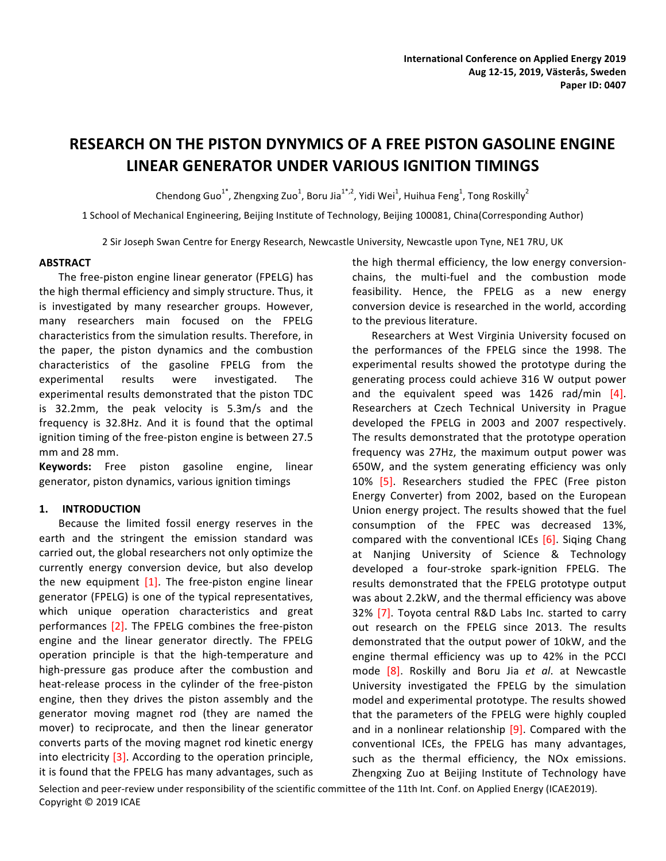# **RESEARCH ON THE PISTON DYNYMICS OF A FREE PISTON GASOLINE ENGINE LINEAR GENERATOR UNDER VARIOUS IGNITION TIMINGS**

Chendong Guo $^{1^*}$ , Zhengxing Zuo $^1$ , Boru Jia $^{1^*,2}$ , Yidi Wei $^1$ , Huihua Feng $^1$ , Tong Roskilly $^2$ 

1 School of Mechanical Engineering, Beijing Institute of Technology, Beijing 100081, China(Corresponding Author)

2 Sir Joseph Swan Centre for Energy Research, Newcastle University, Newcastle upon Tyne, NE1 7RU, UK

## **ABSTRACT**

The free-piston engine linear generator (FPELG) has the high thermal efficiency and simply structure. Thus, it is investigated by many researcher groups. However, many researchers main focused on the FPELG characteristics from the simulation results. Therefore, in the paper, the piston dynamics and the combustion characteristics of the gasoline FPELG from the experimental results were investigated. The experimental results demonstrated that the piston TDC is 32.2mm, the peak velocity is 5.3m/s and the frequency is 32.8Hz. And it is found that the optimal ignition timing of the free-piston engine is between 27.5 mm and 28 mm.

Keywords: Free piston gasoline engine, linear generator, piston dynamics, various ignition timings

# **1. INTRODUCTION**

Because the limited fossil energy reserves in the earth and the stringent the emission standard was carried out, the global researchers not only optimize the currently energy conversion device, but also develop the new equipment  $[1]$ . The free-piston engine linear generator (FPELG) is one of the typical representatives, which unique operation characteristics and great performances [2]. The FPELG combines the free-piston engine and the linear generator directly. The FPELG operation principle is that the high-temperature and high-pressure gas produce after the combustion and heat-release process in the cylinder of the free-piston engine, then they drives the piston assembly and the generator moving magnet rod (they are named the mover) to reciprocate, and then the linear generator converts parts of the moving magnet rod kinetic energy into electricity  $[3]$ . According to the operation principle, it is found that the FPELG has many advantages, such as

the high thermal efficiency, the low energy conversionchains, the multi-fuel and the combustion mode feasibility. Hence, the FPELG as a new energy conversion device is researched in the world, according to the previous literature.

Researchers at West Virginia University focused on the performances of the FPELG since the 1998. The experimental results showed the prototype during the generating process could achieve 316 W output power and the equivalent speed was  $1426$  rad/min  $[4]$ . Researchers at Czech Technical University in Prague developed the FPELG in 2003 and 2007 respectively. The results demonstrated that the prototype operation frequency was 27Hz, the maximum output power was 650W, and the system generating efficiency was only 10% [5]. Researchers studied the FPEC (Free piston Energy Converter) from 2002, based on the European Union energy project. The results showed that the fuel consumption of the FPEC was decreased 13%, compared with the conventional ICEs  $[6]$ . Siging Chang at Nanjing University of Science & Technology developed a four-stroke spark-ignition FPELG. The results demonstrated that the FPELG prototype output was about 2.2kW, and the thermal efficiency was above 32% [7]. Toyota central R&D Labs Inc. started to carry out research on the FPELG since 2013. The results demonstrated that the output power of 10kW, and the engine thermal efficiency was up to 42% in the PCCI mode [8]. Roskilly and Boru Jia et al. at Newcastle University investigated the FPELG by the simulation model and experimental prototype. The results showed that the parameters of the FPELG were highly coupled and in a nonlinear relationship  $[9]$ . Compared with the conventional ICEs, the FPELG has many advantages, such as the thermal efficiency, the NOx emissions. Zhengxing Zuo at Beijing Institute of Technology have

Selection and peer-review under responsibility of the scientific committee of the 11th Int. Conf. on Applied Energy (ICAE2019). Copyright © 2019 ICAE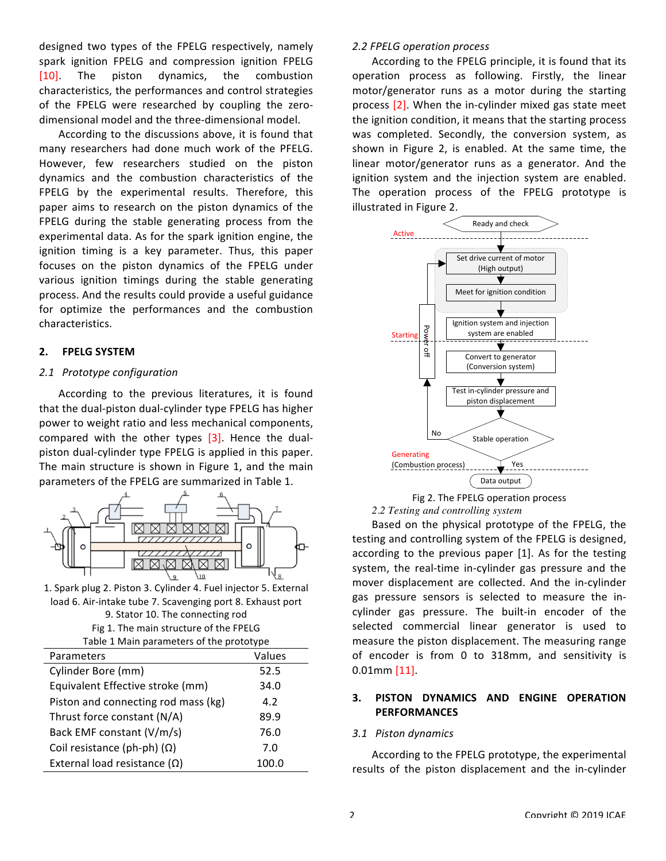designed two types of the FPELG respectively, namely spark ignition FPELG and compression ignition FPELG [10]. The piston dynamics, the combustion characteristics, the performances and control strategies of the FPELG were researched by coupling the zerodimensional model and the three-dimensional model.

According to the discussions above, it is found that many researchers had done much work of the PFELG. However, few researchers studied on the piston dynamics and the combustion characteristics of the FPELG by the experimental results. Therefore, this paper aims to research on the piston dynamics of the FPELG during the stable generating process from the experimental data. As for the spark ignition engine, the ignition timing is a key parameter. Thus, this paper focuses on the piston dynamics of the FPELG under various ignition timings during the stable generating process. And the results could provide a useful guidance for optimize the performances and the combustion characteristics.

## **2. FPELG SYSTEM**

# *2.1 Prototype configuration*

According to the previous literatures, it is found that the dual-piston dual-cylinder type FPELG has higher power to weight ratio and less mechanical components, compared with the other types  $[3]$ . Hence the dualpiston dual-cylinder type FPELG is applied in this paper. The main structure is shown in Figure 1, and the main parameters of the FPELG are summarized in Table 1.



1. Spark plug 2. Piston 3. Cylinder 4. Fuel injector 5. External load 6. Air-intake tube 7. Scavenging port 8. Exhaust port 9. Stator 10. The connecting rod

Fig 1. The main structure of the FPELG

|  | hla 1 Main naramatars of the prototyne |  |  |
|--|----------------------------------------|--|--|

| Table 1 Main parameters of the prototype |        |  |  |  |  |
|------------------------------------------|--------|--|--|--|--|
| Parameters                               | Values |  |  |  |  |
| Cylinder Bore (mm)                       | 52.5   |  |  |  |  |
| Equivalent Effective stroke (mm)         | 34.0   |  |  |  |  |
| Piston and connecting rod mass (kg)      | 4.2    |  |  |  |  |
| Thrust force constant (N/A)              | 89.9   |  |  |  |  |
| Back EMF constant (V/m/s)                | 76.0   |  |  |  |  |
| Coil resistance (ph-ph) $(\Omega)$       | 7.0    |  |  |  |  |
| External load resistance $(\Omega)$      | 100.0  |  |  |  |  |

# *2.2 FPELG operation process*

According to the FPELG principle, it is found that its operation process as following. Firstly, the linear motor/generator runs as a motor during the starting process  $[2]$ . When the in-cylinder mixed gas state meet the ignition condition, it means that the starting process was completed. Secondly, the conversion system, as shown in Figure 2, is enabled. At the same time, the linear motor/generator runs as a generator. And the ignition system and the injection system are enabled. The operation process of the FPELG prototype is illustrated in Figure 2.



Fig 2. The FPELG operation process *2.2 Testing and controlling system*

Based on the physical prototype of the FPELG, the testing and controlling system of the FPELG is designed, according to the previous paper [1]. As for the testing system, the real-time in-cylinder gas pressure and the mover displacement are collected. And the in-cylinder gas pressure sensors is selected to measure the incylinder gas pressure. The built-in encoder of the selected commercial linear generator is used to measure the piston displacement. The measuring range of encoder is from 0 to 318mm, and sensitivity is 0.01mm [11].

# **3. PISTON DYNAMICS AND ENGINE OPERATION PERFORMANCES**

## *3.1 Piston dynamics*

According to the FPELG prototype, the experimental results of the piston displacement and the in-cylinder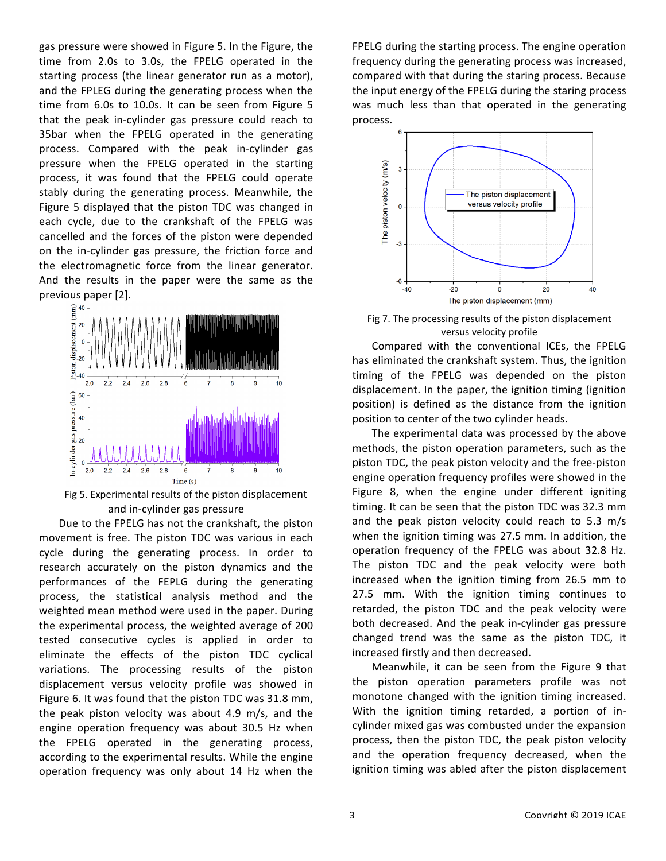gas pressure were showed in Figure 5. In the Figure, the time from 2.0s to 3.0s, the FPELG operated in the starting process (the linear generator run as a motor), and the FPLEG during the generating process when the time from 6.0s to 10.0s. It can be seen from Figure 5 that the peak in-cylinder gas pressure could reach to 35bar when the FPELG operated in the generating process. Compared with the peak in-cylinder gas pressure when the FPELG operated in the starting process, it was found that the FPELG could operate stably during the generating process. Meanwhile, the Figure 5 displayed that the piston TDC was changed in each cycle, due to the crankshaft of the FPELG was cancelled and the forces of the piston were depended on the in-cylinder gas pressure, the friction force and the electromagnetic force from the linear generator. And the results in the paper were the same as the previous paper [2].



Fig 5. Experimental results of the piston displacement and in-cylinder gas pressure

Due to the FPELG has not the crankshaft, the piston movement is free. The piston TDC was various in each cycle during the generating process. In order to research accurately on the piston dynamics and the performances of the FEPLG during the generating process, the statistical analysis method and the weighted mean method were used in the paper. During the experimental process, the weighted average of 200 tested consecutive cycles is applied in order to eliminate the effects of the piston TDC cyclical variations. The processing results of the piston displacement versus velocity profile was showed in Figure 6. It was found that the piston TDC was 31.8 mm, the peak piston velocity was about  $4.9$  m/s, and the engine operation frequency was about 30.5 Hz when the FPELG operated in the generating process, according to the experimental results. While the engine operation frequency was only about 14 Hz when the FPELG during the starting process. The engine operation frequency during the generating process was increased, compared with that during the staring process. Because the input energy of the FPELG during the staring process was much less than that operated in the generating process. 



Fig 7. The processing results of the piston displacement versus velocity profile

Compared with the conventional ICEs, the FPELG has eliminated the crankshaft system. Thus, the ignition timing of the FPELG was depended on the piston displacement. In the paper, the ignition timing (ignition position) is defined as the distance from the ignition position to center of the two cylinder heads.

The experimental data was processed by the above methods, the piston operation parameters, such as the piston TDC, the peak piston velocity and the free-piston engine operation frequency profiles were showed in the Figure 8, when the engine under different igniting timing. It can be seen that the piston TDC was 32.3 mm and the peak piston velocity could reach to 5.3  $m/s$ when the ignition timing was 27.5 mm. In addition, the operation frequency of the FPELG was about 32.8 Hz. The piston TDC and the peak velocity were both increased when the ignition timing from 26.5 mm to 27.5 mm. With the ignition timing continues to retarded, the piston TDC and the peak velocity were both decreased. And the peak in-cylinder gas pressure changed trend was the same as the piston TDC, it increased firstly and then decreased.

Meanwhile, it can be seen from the Figure 9 that the piston operation parameters profile was not monotone changed with the ignition timing increased. With the ignition timing retarded, a portion of incylinder mixed gas was combusted under the expansion process, then the piston TDC, the peak piston velocity and the operation frequency decreased, when the ignition timing was abled after the piston displacement